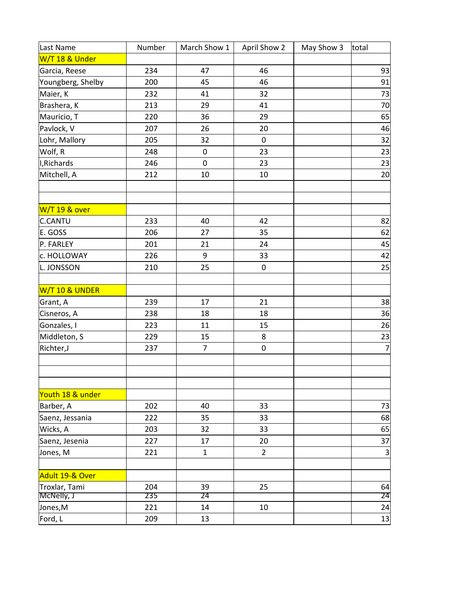| Last Name         | Number | March Show 1   | April Show 2   | May Show 3 | total                   |
|-------------------|--------|----------------|----------------|------------|-------------------------|
| W/T 18 & Under    |        |                |                |            |                         |
| Garcia, Reese     | 234    | 47             | 46             |            | 93                      |
| Youngberg, Shelby | 200    | 45             | 46             |            | 91                      |
| Maier, K          | 232    | 41             | 32             |            | 73                      |
| Brashera, K       | 213    | 29             | 41             |            | 70                      |
| Mauricio, T       | 220    | 36             | 29             |            | 65                      |
| Pavlock, V        | 207    | 26             | 20             |            | 46                      |
| Lohr, Mallory     | 205    | 32             | $\mathbf 0$    |            | 32                      |
| Wolf, R           | 248    | 0              | 23             |            | 23                      |
| I, Richards       | 246    | $\pmb{0}$      | 23             |            | 23                      |
| Mitchell, A       | 212    | 10             | 10             |            | 20                      |
| W/T 19 & over     |        |                |                |            |                         |
| <b>C.CANTU</b>    | 233    | 40             | 42             |            | 82                      |
| E. GOSS           | 206    | 27             | 35             |            | 62                      |
| P. FARLEY         | 201    | 21             | 24             |            | 45                      |
| c. HOLLOWAY       | 226    | 9              | 33             |            | 42                      |
| L. JONSSON        | 210    | 25             | 0              |            | 25                      |
| W/T 10 & UNDER    |        |                |                |            |                         |
| Grant, A          | 239    | 17             | 21             |            | 38                      |
| Cisneros, A       | 238    | 18             | 18             |            | 36                      |
| Gonzales, I       | 223    | 11             | 15             |            | 26                      |
| Middleton, S      | 229    | 15             | 8              |            | 23                      |
| Richter,J         | 237    | $\overline{7}$ | 0              |            | $\overline{7}$          |
|                   |        |                |                |            |                         |
| Youth 18 & under  |        |                |                |            |                         |
| Barber, A         | 202    | 40             | 33             |            | 73                      |
| Saenz, Jessania   | 222    | 35             | 33             |            | 68                      |
| Wicks, A          | 203    | 32             | 33             |            | 65                      |
| Saenz, Jesenia    | 227    | 17             | 20             |            | 37                      |
| Jones, M          | 221    | $\mathbf{1}$   | $\overline{2}$ |            | $\overline{\mathbf{3}}$ |
| Adult 19-& Over   |        |                |                |            |                         |
| Troxlar, Tami     | 204    | 39             | 25             |            | 64                      |
| McNelly, J        | 235    | 24             |                |            | $\overline{24}$         |
| Jones,M           | 221    | 14             | 10             |            | 24                      |
| Ford, L           | 209    | 13             |                |            | 13                      |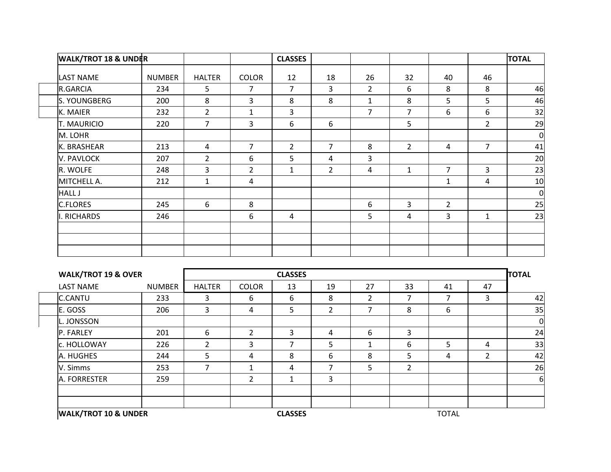|               | <b>WALK/TROT 18 &amp; UNDER</b> |               |                |                | <b>CLASSES</b> |                |                |              |                |                | <b>TOTAL</b>   |
|---------------|---------------------------------|---------------|----------------|----------------|----------------|----------------|----------------|--------------|----------------|----------------|----------------|
|               | <b>LAST NAME</b>                | <b>NUMBER</b> | <b>HALTER</b>  | <b>COLOR</b>   | 12             | 18             | 26             | 32           | 40             | 46             |                |
|               | R.GARCIA                        | 234           | 5              | 7              | 7              | 3              | $\overline{2}$ | 6            | 8              | 8              | 46             |
|               | S. YOUNGBERG                    | 200           | 8              | 3              | 8              | 8              | $\mathbf{1}$   | 8            | 5              | 5              | 46             |
|               | K. MAIER                        | 232           | $\overline{2}$ | $\mathbf{1}$   | 3              |                | $\overline{7}$ | 7            | 6              | 6              | 32             |
|               | T. MAURICIO                     | 220           | $\overline{7}$ | 3              | 6              | 6              |                | 5            |                | $\overline{2}$ | 29             |
|               | M. LOHR                         |               |                |                |                |                |                |              |                |                | $\overline{0}$ |
|               | K. BRASHEAR                     | 213           | 4              | $\overline{7}$ | $\overline{2}$ | $\overline{7}$ | 8              | 2            | 4              | $\overline{7}$ | 41             |
|               | V. PAVLOCK                      | 207           | $\overline{2}$ | 6              | 5              | 4              | $\overline{3}$ |              |                |                | 20             |
|               | R. WOLFE                        | 248           | 3              | $\overline{2}$ | $\mathbf{1}$   | $2^{\circ}$    | 4              | $\mathbf{1}$ | $\overline{7}$ | 3              | 23             |
|               | MITCHELL A.                     | 212           | $\mathbf{1}$   | $\overline{4}$ |                |                |                |              | 1              | 4              | 10             |
| <b>HALL J</b> |                                 |               |                |                |                |                |                |              |                |                | 0              |
|               | <b>C.FLORES</b>                 | 245           | 6              | 8              |                |                | 6              | 3            | $\overline{2}$ |                | 25             |
|               | <b>RICHARDS</b>                 | 246           |                | 6              | 4              |                | 5 <sup>5</sup> | 4            | 3              | $\mathbf{1}$   | 23             |
|               |                                 |               |                |                |                |                |                |              |                |                |                |
|               |                                 |               |                |                |                |                |                |              |                |                |                |
|               |                                 |               |                |                |                |                |                |              |                |                |                |

| <b>WALK/TROT 19 &amp; OVER</b><br><b>CLASSES</b> |               |               |                |                |    |                |                | <b>TOTAL</b> |                |          |
|--------------------------------------------------|---------------|---------------|----------------|----------------|----|----------------|----------------|--------------|----------------|----------|
| <b>LAST NAME</b>                                 | <b>NUMBER</b> | <b>HALTER</b> | <b>COLOR</b>   | 13             | 19 | 27             | 33             | 41           | 47             |          |
| <b>C.CANTU</b>                                   | 233           | 3             | 6              | 6              | 8  | $\overline{2}$ |                |              | 3              | 42       |
| E. GOSS                                          | 206           | 3             | 4              | 5              | 2  |                | 8              | 6            |                | 35       |
| L. JONSSON                                       |               |               |                |                |    |                |                |              |                | 0        |
| P. FARLEY                                        | 201           | 6             | 2              | 3              | 4  | 6              | 3              |              |                | 24       |
| c. HOLLOWAY                                      | 226           | 2             | 3              | $\overline{7}$ | 5  |                | 6              | 5            | 4              | 33       |
| A. HUGHES                                        | 244           | 5             | 4              | 8              | 6  | 8              | 5              | 4            | $\overline{2}$ | 42       |
| V. Simms                                         | 253           |               | 1              | 4              | ⇁  | 5              | $\overline{2}$ |              |                | 26       |
| A. FORRESTER                                     | 259           |               | $\overline{2}$ | 1              | 3  |                |                |              |                | $6 \mid$ |
|                                                  |               |               |                |                |    |                |                |              |                |          |
| <b>WALK/TROT 10 &amp; UNDER</b>                  |               |               |                | <b>CLASSES</b> |    |                |                | <b>TOTAL</b> |                |          |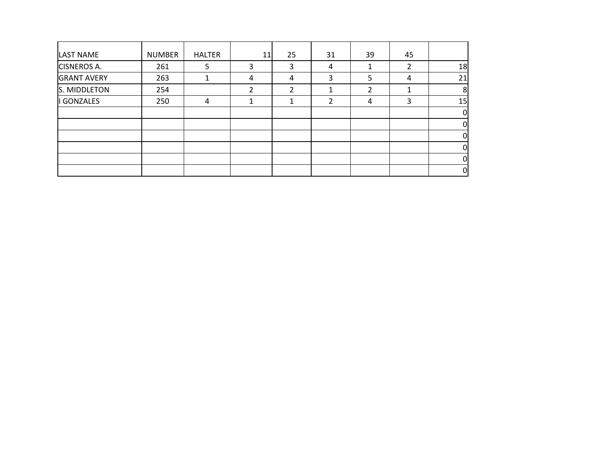| LAST NAME          | <b>NUMBER</b> | <b>HALTER</b> | 11 | 25 | 31            | 39 | 45 |    |
|--------------------|---------------|---------------|----|----|---------------|----|----|----|
| <b>CISNEROS A.</b> | 261           | 5             | 3  | 3  | 4             |    |    | 18 |
| <b>GRANT AVERY</b> | 263           |               | 4  | 4  | 3             | 5  | 4  | 21 |
| S. MIDDLETON       | 254           |               | 2  | ∍  |               | 2  |    | 8  |
| GONZALES           | 250           | 4             |    | 1  | $\mathcal{P}$ | 4  | 3  | 15 |
|                    |               |               |    |    |               |    |    |    |
|                    |               |               |    |    |               |    |    |    |
|                    |               |               |    |    |               |    |    |    |
|                    |               |               |    |    |               |    |    |    |
|                    |               |               |    |    |               |    |    |    |
|                    |               |               |    |    |               |    |    |    |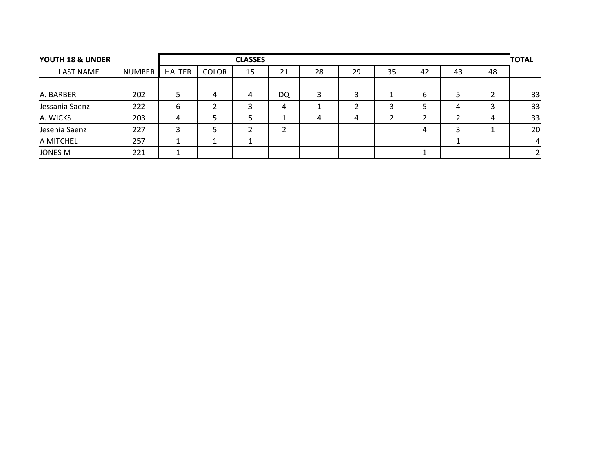| YOUTH 18 & UNDER |        |        |              | <b>CLASSES</b> |    |    |    |    |    |    |    | <b>TOTAL</b> |
|------------------|--------|--------|--------------|----------------|----|----|----|----|----|----|----|--------------|
| <b>LAST NAME</b> | NUMBER | HALTER | <b>COLOR</b> | 15             | 21 | 28 | 29 | 35 | 42 | 43 | 48 |              |
|                  |        |        |              |                |    |    |    |    |    |    |    |              |
| A. BARBER        | 202    |        | 4            | 4              | DQ |    |    |    | 6  |    |    | 33           |
| Jessania Saenz   | 222    | b      |              |                | 4  |    |    |    |    | 4  |    | 33           |
| A. WICKS         | 203    | 4      |              |                |    | 4  | 4  |    | ▵  |    | 4  | 33           |
| Jesenia Saenz    | 227    |        |              |                |    |    |    |    | 4  |    |    | 20           |
| A MITCHEL        | 257    |        |              |                |    |    |    |    |    |    |    | 4            |
| JONES M          | 221    |        |              |                |    |    |    |    |    |    |    | 2            |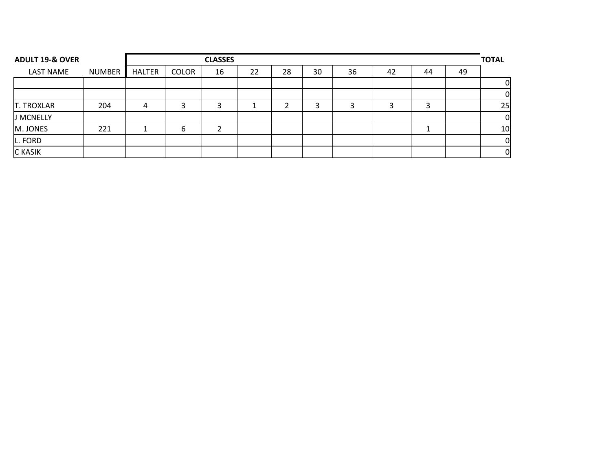| <b>ADULT 19-&amp; OVER</b> |               |               | <b>CLASSES</b> |    |    |    |    |    |    |    |    |                |
|----------------------------|---------------|---------------|----------------|----|----|----|----|----|----|----|----|----------------|
| <b>LAST NAME</b>           | <b>NUMBER</b> | <b>HALTER</b> | <b>COLOR</b>   | 16 | 22 | 28 | 30 | 36 | 42 | 44 | 49 |                |
|                            |               |               |                |    |    |    |    |    |    |    |    | 0              |
|                            |               |               |                |    |    |    |    |    |    |    |    | $\mathbf 0$    |
| <b>T. TROXLAR</b>          | 204           | 4             |                | ∍  |    |    | 3  |    |    |    |    | 25             |
| J MCNELLY                  |               |               |                |    |    |    |    |    |    |    |    | $\overline{0}$ |
| M. JONES                   | 221           |               | 6              |    |    |    |    |    |    |    |    | 10             |
| L. FORD                    |               |               |                |    |    |    |    |    |    |    |    | $\overline{0}$ |
| <b>C</b> KASIK             |               |               |                |    |    |    |    |    |    |    |    | $\mathbf 0$    |